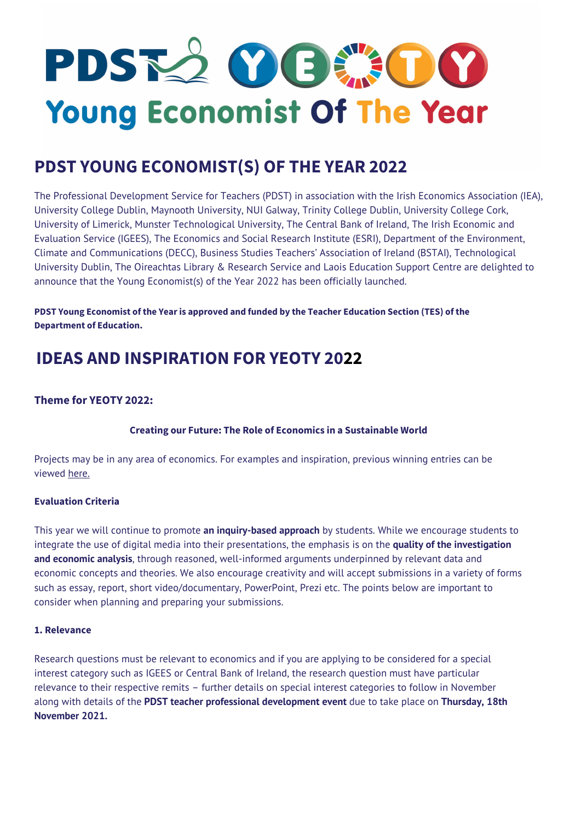# PDSK2 OCERCO Young Economist Of The Year

## **PDST YOUNG ECONOMIST(S) OF THE YEAR 2022**

The Professional Development Service for Teachers (PDST) in association with the Irish Economics Association (IEA), University College Dublin, Maynooth University, NUI Galway, Trinity College Dublin, University College Cork, University of Limerick, Munster Technological University, The Central Bank of Ireland, The Irish Economic and Evaluation Service (IGEES), The Economics and Social Research Institute (ESRI), Department of the Environment, Climate and Communications (DECC), Business Studies Teachers' Association of Ireland (BSTAI), Technological University Dublin, The Oireachtas Library & Research Service and Laois Education Support Centre are delighted to announce that the Young Economist(s) of the Year 2022 has been officially launched.

**PDST Young Economist of the Year is approved and funded by the Teacher Education Section (TES) of the Department of Education.**

#### **Theme for YEOTY 2022:**

**Creating our Future: The Role of Economics in a Sustainable World**

Projects may be in any area of economics. For examples and inspiration, previous winning entries can be viewed [here.](https://www.youngeconomist.ie/yeoty-archive)

#### **Evaluation Criteria**

This year we will continue to promote **an inquiry-based approach** by students. While we encourage students to integrate the use of digital media into their presentations, the emphasis is on the **quality of the investigation and economic analysis**, through reasoned, well-informed arguments underpinned by relevant data and economic concepts and theories. We also encourage creativity and will accept submissions in a variety of forms such as essay, report, short video/documentary, PowerPoint, Prezi etc. The points below are important to consider when planning and preparing your submissions.

#### **1. Relevance**

Research questions must be relevant to economics and if you are applying to be considered for a special interest category such as IGEES or Central Bank of Ireland, the research question must have particular relevance to their respective remits – further details on special interest categories to follow in November along with details of the **PDST teacher professional development event** due to take place on **Thursday, 18th November 2021.**

## **IDEAS AND INSPIRATION FOR YEOTY 2022**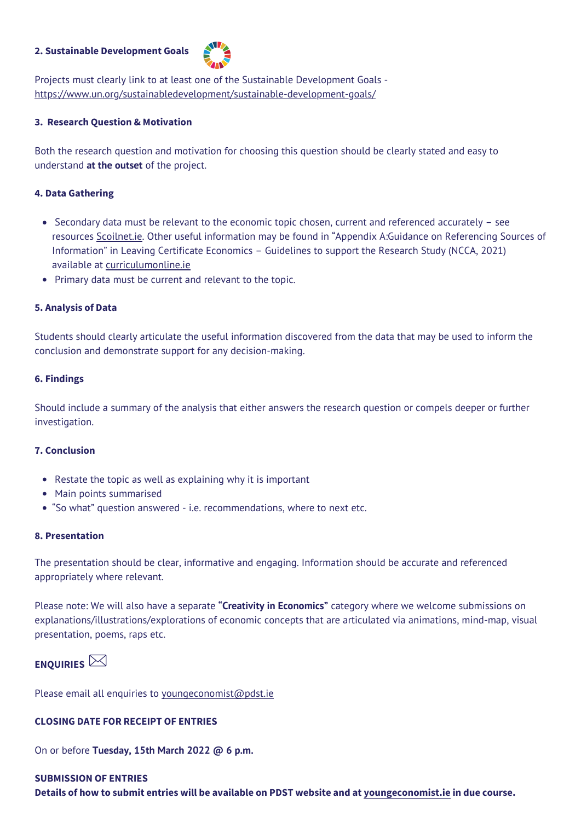- Restate the topic as well as explaining why it is important  $\bullet$
- Main points summarised  $\bullet$
- "So what" question answered i.e. recommendations, where to next etc.

#### **2. Sustainable Development Goals**



Projects must clearly link to at least one of the Sustainable Development Goals <https://www.un.org/sustainabledevelopment/sustainable-development-goals/>

#### **3. Research Question & Motivation**

Both the research question and motivation for choosing this question should be clearly stated and easy to understand **at the outset** of the project.

#### **4. Data Gathering**

- Secondary data must be relevant to the economic topic chosen, current and referenced accurately see resources [Scoilnet.ie.](https://www.scoilnet.ie/fileadmin/user_upload/IrishEconomicAssociation_CITATION.pdf) Other useful information may be found in "Appendix A:Guidance on Referencing Sources of Information" in Leaving Certificate Economics – Guidelines to support the Research Study (NCCA, 2021) available at [curriculumonline.ie](https://curriculumonline.ie/Senior-cycle/Senior-Cycle-Subjects/Economics/)
- Primary data must be current and relevant to the topic.  $\bullet$

#### **5. Analysis of Data**

Students should clearly articulate the useful information discovered from the data that may be used to inform the conclusion and demonstrate support for any decision-making.

#### **6. Findings**

Should include a summary of the analysis that either answers the research question or compels deeper or further investigation.

#### **7. Conclusion**

#### **8. Presentation**

The presentation should be clear, informative and engaging. Information should be accurate and referenced appropriately where relevant.

Please note: We will also have a separate **"Creativity in Economics"** category where we welcome submissions on explanations/illustrations/explorations of economic concepts that are articulated via animations, mind-map, visual presentation, poems, raps etc.

## **ENQUIRIES**

Please email all enquiries to [youngeconomist@pdst.ie](mailto:youngeconomist@pdst.ie)

#### **CLOSING DATE FOR RECEIPT OF ENTRIES**

On or before **Tuesday, 15th March 2022 @ 6 p.m.**

### **SUBMISSION OF ENTRIES Details of how to submit entries will be available on PDST website and at [youngeconomist.ie](https://www.youngeconomist.ie/) in due course.**